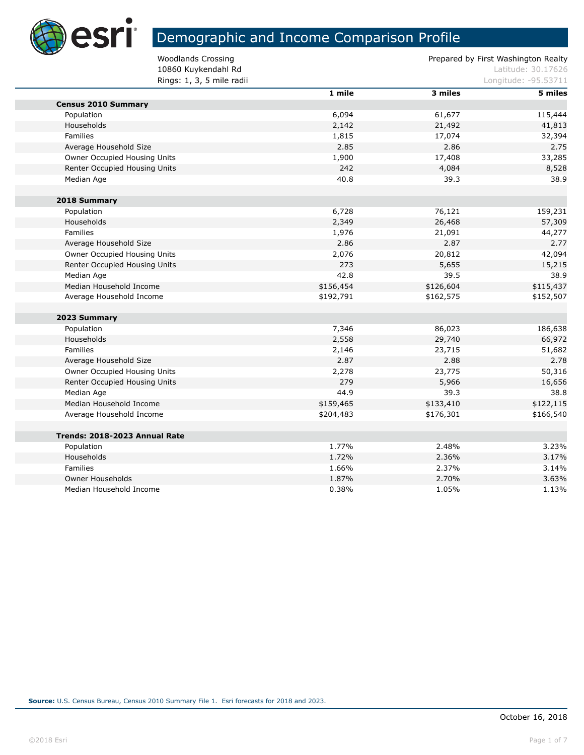

п

# Demographic and Income Comparison Profile

10860 Kuykendahl Rd<br>
Latitude: 30.17626 **Rings: 1, 3, 5 mile radii** Longitude: -95.53711

|                               | 1 mile    | 3 miles   | 5 miles   |  |  |
|-------------------------------|-----------|-----------|-----------|--|--|
| <b>Census 2010 Summary</b>    |           |           |           |  |  |
| Population                    | 6,094     | 61,677    | 115,444   |  |  |
| Households                    | 2,142     | 21,492    | 41,813    |  |  |
| Families                      | 1,815     | 17,074    | 32,394    |  |  |
| Average Household Size        | 2.85      | 2.86      | 2.75      |  |  |
| Owner Occupied Housing Units  | 1,900     | 17,408    | 33,285    |  |  |
| Renter Occupied Housing Units | 242       | 4,084     | 8,528     |  |  |
| Median Age                    | 40.8      | 39.3      | 38.9      |  |  |
| 2018 Summary                  |           |           |           |  |  |
| Population                    | 6,728     | 76,121    | 159,231   |  |  |
| <b>Households</b>             | 2,349     | 26,468    | 57,309    |  |  |
| Families                      | 1,976     | 21,091    | 44,277    |  |  |
| Average Household Size        | 2.86      | 2.87      | 2.77      |  |  |
| Owner Occupied Housing Units  | 2,076     | 20,812    | 42,094    |  |  |
| Renter Occupied Housing Units | 273       | 5,655     | 15,215    |  |  |
| Median Age                    | 42.8      | 39.5      | 38.9      |  |  |
| Median Household Income       | \$156,454 | \$126,604 | \$115,437 |  |  |
| Average Household Income      | \$192,791 | \$162,575 | \$152,507 |  |  |
| 2023 Summary                  |           |           |           |  |  |
| Population                    | 7,346     | 86,023    | 186,638   |  |  |
| Households                    | 2,558     | 29,740    | 66,972    |  |  |
| Families                      | 2,146     | 23,715    | 51,682    |  |  |
| Average Household Size        | 2.87      | 2.88      | 2.78      |  |  |
| Owner Occupied Housing Units  | 2,278     | 23,775    | 50,316    |  |  |
| Renter Occupied Housing Units | 279       | 5,966     | 16,656    |  |  |
| Median Age                    | 44.9      | 39.3      | 38.8      |  |  |
| Median Household Income       | \$159,465 | \$133,410 | \$122,115 |  |  |
| Average Household Income      | \$204,483 | \$176,301 | \$166,540 |  |  |
| Trends: 2018-2023 Annual Rate |           |           |           |  |  |
| Population                    | 1.77%     | 2.48%     | 3.23%     |  |  |
| Households                    | 1.72%     | 2.36%     | 3.17%     |  |  |
| Families                      | 1.66%     | 2.37%     | 3.14%     |  |  |
| Owner Households              | 1.87%     | 2.70%     | 3.63%     |  |  |
| Median Household Income       | 0.38%     | 1.05%     | 1.13%     |  |  |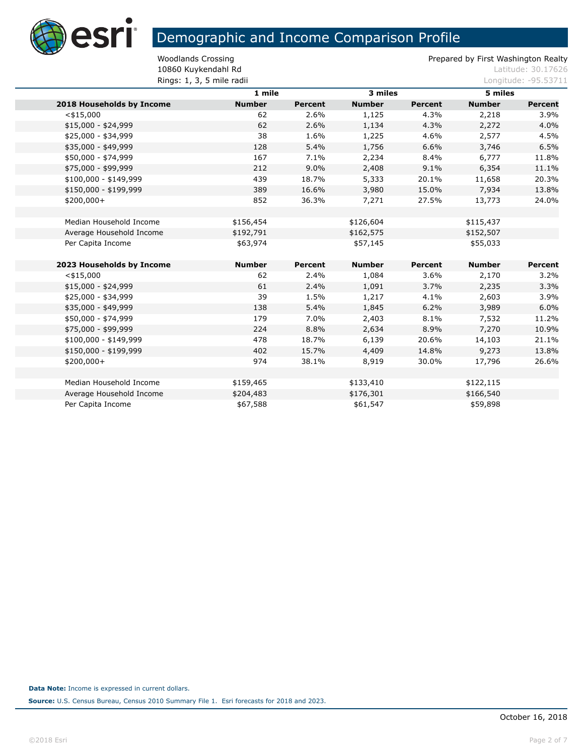

10860 Kuykendahl Rd<br>
Latitude: 30.17626 **Rings: 1, 3, 5 mile radii Longitude: -95.53711** 

|                           | 1 mile        |                | 3 miles       |                | 5 miles       |                |
|---------------------------|---------------|----------------|---------------|----------------|---------------|----------------|
| 2018 Households by Income | <b>Number</b> | <b>Percent</b> | <b>Number</b> | <b>Percent</b> | <b>Number</b> | <b>Percent</b> |
| $<$ \$15,000              | 62            | 2.6%           | 1,125         | 4.3%           | 2,218         | 3.9%           |
| $$15,000 - $24,999$       | 62            | 2.6%           | 1,134         | 4.3%           | 2,272         | 4.0%           |
| \$25,000 - \$34,999       | 38            | 1.6%           | 1,225         | 4.6%           | 2,577         | 4.5%           |
| \$35,000 - \$49,999       | 128           | 5.4%           | 1,756         | 6.6%           | 3,746         | 6.5%           |
| \$50,000 - \$74,999       | 167           | 7.1%           | 2,234         | 8.4%           | 6,777         | 11.8%          |
| \$75,000 - \$99,999       | 212           | 9.0%           | 2,408         | 9.1%           | 6,354         | 11.1%          |
| \$100,000 - \$149,999     | 439           | 18.7%          | 5,333         | 20.1%          | 11,658        | 20.3%          |
| \$150,000 - \$199,999     | 389           | 16.6%          | 3,980         | 15.0%          | 7,934         | 13.8%          |
| $$200,000+$               | 852           | 36.3%          | 7,271         | 27.5%          | 13,773        | 24.0%          |
|                           |               |                |               |                |               |                |
| Median Household Income   | \$156,454     |                | \$126,604     |                | \$115,437     |                |
| Average Household Income  | \$192,791     |                | \$162,575     |                | \$152,507     |                |
| Per Capita Income         | \$63,974      |                | \$57,145      |                | \$55,033      |                |
|                           |               |                |               |                |               |                |
| 2023 Households by Income | <b>Number</b> | <b>Percent</b> | <b>Number</b> | Percent        | <b>Number</b> | Percent        |
| $<$ \$15,000              | 62            | 2.4%           | 1,084         | 3.6%           | 2,170         | 3.2%           |
| $$15,000 - $24,999$       | 61            | 2.4%           | 1,091         | 3.7%           | 2,235         | 3.3%           |
| \$25,000 - \$34,999       | 39            | 1.5%           | 1,217         | 4.1%           | 2,603         | 3.9%           |
| \$35,000 - \$49,999       | 138           | 5.4%           | 1,845         | 6.2%           | 3,989         | 6.0%           |
| \$50,000 - \$74,999       | 179           | 7.0%           | 2,403         | 8.1%           | 7,532         | 11.2%          |
| \$75,000 - \$99,999       | 224           | 8.8%           | 2,634         | 8.9%           | 7,270         | 10.9%          |
| \$100,000 - \$149,999     | 478           | 18.7%          | 6,139         | 20.6%          | 14,103        | 21.1%          |
| \$150,000 - \$199,999     | 402           | 15.7%          | 4,409         | 14.8%          | 9,273         | 13.8%          |
| $$200,000+$               | 974           | 38.1%          | 8,919         | 30.0%          | 17,796        | 26.6%          |
|                           |               |                |               |                |               |                |
| Median Household Income   | \$159,465     |                | \$133,410     |                | \$122,115     |                |
| Average Household Income  | \$204,483     |                | \$176,301     |                | \$166,540     |                |
| Per Capita Income         | \$67,588      |                | \$61,547      |                | \$59,898      |                |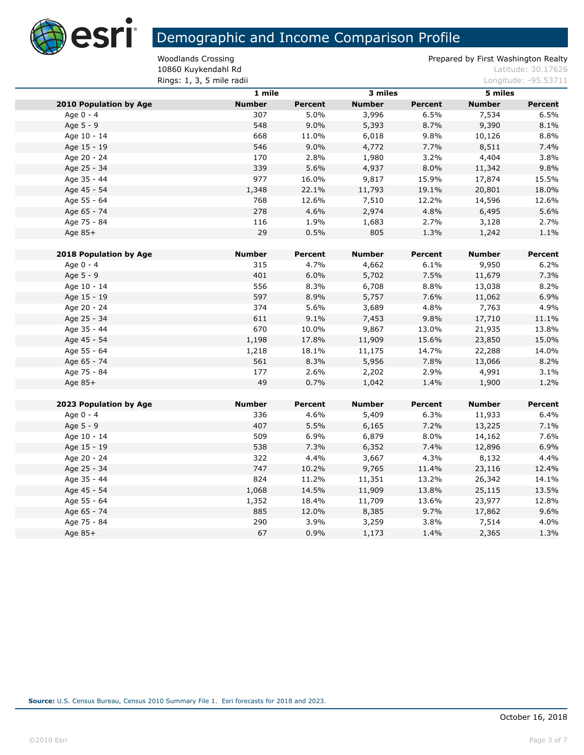

10860 Kuykendahl Rd<br>
Latitude: 30.17626 **Rings: 1, 3, 5 mile radii** Longitude: -95.53711

|                               | $1$ mile      |                | 3 miles       |                | 5 miles       |                |
|-------------------------------|---------------|----------------|---------------|----------------|---------------|----------------|
| <b>2010 Population by Age</b> | <b>Number</b> | <b>Percent</b> | <b>Number</b> | <b>Percent</b> | <b>Number</b> | Percent        |
| Age 0 - 4                     | 307           | 5.0%           | 3,996         | 6.5%           | 7,534         | 6.5%           |
| Age 5 - 9                     | 548           | 9.0%           | 5,393         | 8.7%           | 9,390         | 8.1%           |
| Age 10 - 14                   | 668           | 11.0%          | 6,018         | 9.8%           | 10,126        | 8.8%           |
| Age 15 - 19                   | 546           | 9.0%           | 4,772         | 7.7%           | 8,511         | 7.4%           |
| Age 20 - 24                   | 170           | 2.8%           | 1,980         | 3.2%           | 4,404         | 3.8%           |
| Age 25 - 34                   | 339           | 5.6%           | 4,937         | 8.0%           | 11,342        | 9.8%           |
| Age 35 - 44                   | 977           | 16.0%          | 9,817         | 15.9%          | 17,874        | 15.5%          |
| Age 45 - 54                   | 1,348         | 22.1%          | 11,793        | 19.1%          | 20,801        | 18.0%          |
| Age 55 - 64                   | 768           | 12.6%          | 7,510         | 12.2%          | 14,596        | 12.6%          |
| Age 65 - 74                   | 278           | 4.6%           | 2,974         | 4.8%           | 6,495         | 5.6%           |
| Age 75 - 84                   | 116           | 1.9%           | 1,683         | 2.7%           | 3,128         | 2.7%           |
| Age 85+                       | 29            | 0.5%           | 805           | 1.3%           | 1,242         | 1.1%           |
|                               |               |                |               |                |               |                |
| <b>2018 Population by Age</b> | <b>Number</b> | Percent        | <b>Number</b> | <b>Percent</b> | <b>Number</b> | Percent        |
| Age 0 - 4                     | 315           | 4.7%           | 4,662         | 6.1%           | 9,950         | 6.2%           |
| Age 5 - 9                     | 401           | 6.0%           | 5,702         | 7.5%           | 11,679        | 7.3%           |
| Age 10 - 14                   | 556           | 8.3%           | 6,708         | 8.8%           | 13,038        | 8.2%           |
| Age 15 - 19                   | 597           | 8.9%           | 5,757         | 7.6%           | 11,062        | 6.9%           |
| Age 20 - 24                   | 374           | 5.6%           | 3,689         | 4.8%           | 7,763         | 4.9%           |
| Age 25 - 34                   | 611           | 9.1%           | 7,453         | 9.8%           | 17,710        | 11.1%          |
| Age 35 - 44                   | 670           | 10.0%          | 9,867         | 13.0%          | 21,935        | 13.8%          |
| Age 45 - 54                   | 1,198         | 17.8%          | 11,909        | 15.6%          | 23,850        | 15.0%          |
| Age 55 - 64                   | 1,218         | 18.1%          | 11,175        | 14.7%          | 22,288        | 14.0%          |
| Age 65 - 74                   | 561           | 8.3%           | 5,956         | 7.8%           | 13,066        | 8.2%           |
| Age 75 - 84                   | 177           | 2.6%           | 2,202         | 2.9%           | 4,991         | 3.1%           |
| Age 85+                       | 49            | 0.7%           | 1,042         | 1.4%           | 1,900         | 1.2%           |
| 2023 Population by Age        | <b>Number</b> | Percent        | <b>Number</b> | <b>Percent</b> | <b>Number</b> | <b>Percent</b> |
| Age 0 - 4                     | 336           | 4.6%           | 5,409         | 6.3%           | 11,933        | 6.4%           |
| Age 5 - 9                     | 407           | 5.5%           | 6,165         | 7.2%           | 13,225        | 7.1%           |
| Age 10 - 14                   | 509           | 6.9%           | 6,879         | 8.0%           | 14,162        | 7.6%           |
| Age 15 - 19                   | 538           | 7.3%           | 6,352         | 7.4%           | 12,896        | 6.9%           |
| Age 20 - 24                   | 322           | 4.4%           | 3,667         | 4.3%           | 8,132         | 4.4%           |
| Age 25 - 34                   | 747           | 10.2%          | 9,765         | 11.4%          | 23,116        | 12.4%          |
| Age 35 - 44                   | 824           | 11.2%          | 11,351        | 13.2%          | 26,342        | 14.1%          |
| Age 45 - 54                   | 1,068         | 14.5%          | 11,909        | 13.8%          | 25,115        | 13.5%          |
| Age 55 - 64                   | 1,352         | 18.4%          | 11,709        | 13.6%          | 23,977        | 12.8%          |
| Age 65 - 74                   | 885           | 12.0%          | 8,385         | 9.7%           | 17,862        | 9.6%           |
| Age 75 - 84                   | 290           | 3.9%           | 3,259         | 3.8%           | 7,514         | 4.0%           |
| Age $85+$                     | 67            | 0.9%           | 1,173         | 1.4%           | 2,365         | 1.3%           |
|                               |               |                |               |                |               |                |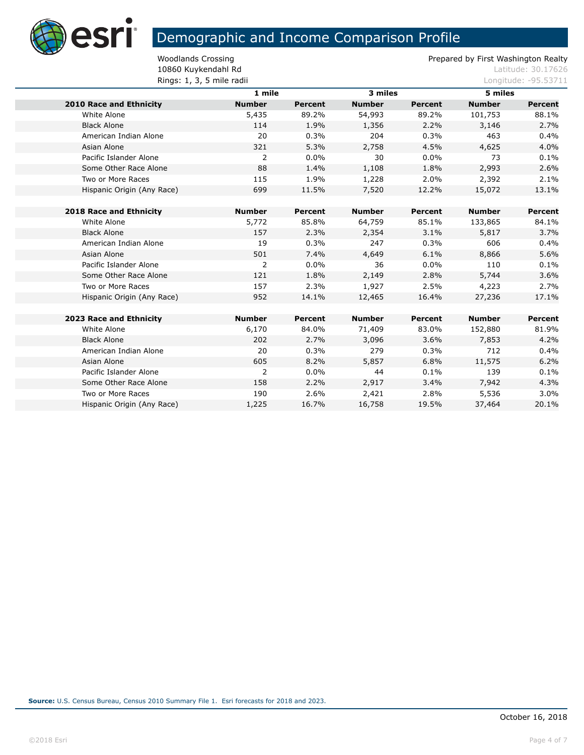

10860 Kuykendahl Rd<br>
Latitude: 30.17626 **Rings: 1, 3, 5 mile radii** Longitude: -95.53711

|                            | 1 mile         |                | 3 miles       |                | 5 miles       |                |
|----------------------------|----------------|----------------|---------------|----------------|---------------|----------------|
| 2010 Race and Ethnicity    | <b>Number</b>  | <b>Percent</b> | <b>Number</b> | <b>Percent</b> | <b>Number</b> | <b>Percent</b> |
| White Alone                | 5,435          | 89.2%          | 54,993        | 89.2%          | 101,753       | 88.1%          |
| <b>Black Alone</b>         | 114            | 1.9%           | 1,356         | 2.2%           | 3,146         | 2.7%           |
| American Indian Alone      | 20             | 0.3%           | 204           | 0.3%           | 463           | 0.4%           |
| Asian Alone                | 321            | 5.3%           | 2,758         | 4.5%           | 4,625         | 4.0%           |
| Pacific Islander Alone     | 2              | $0.0\%$        | 30            | $0.0\%$        | 73            | 0.1%           |
| Some Other Race Alone      | 88             | 1.4%           | 1,108         | 1.8%           | 2,993         | 2.6%           |
| Two or More Races          | 115            | 1.9%           | 1,228         | 2.0%           | 2,392         | 2.1%           |
| Hispanic Origin (Any Race) | 699            | 11.5%          | 7,520         | 12.2%          | 15,072        | 13.1%          |
|                            |                |                |               |                |               |                |
| 2018 Race and Ethnicity    | <b>Number</b>  | Percent        | <b>Number</b> | Percent        | <b>Number</b> | <b>Percent</b> |
| White Alone                | 5,772          | 85.8%          | 64,759        | 85.1%          | 133,865       | 84.1%          |
| <b>Black Alone</b>         | 157            | 2.3%           | 2,354         | 3.1%           | 5,817         | 3.7%           |
| American Indian Alone      | 19             | 0.3%           | 247           | 0.3%           | 606           | 0.4%           |
| Asian Alone                | 501            | 7.4%           | 4,649         | 6.1%           | 8,866         | 5.6%           |
| Pacific Islander Alone     | $\overline{2}$ | $0.0\%$        | 36            | $0.0\%$        | 110           | 0.1%           |
| Some Other Race Alone      | 121            | 1.8%           | 2,149         | 2.8%           | 5,744         | 3.6%           |
| Two or More Races          | 157            | 2.3%           | 1,927         | 2.5%           | 4,223         | 2.7%           |
| Hispanic Origin (Any Race) | 952            | 14.1%          | 12,465        | 16.4%          | 27,236        | 17.1%          |
|                            |                |                |               |                |               |                |
| 2023 Race and Ethnicity    | <b>Number</b>  | Percent        | <b>Number</b> | Percent        | <b>Number</b> | Percent        |
| White Alone                | 6,170          | 84.0%          | 71,409        | 83.0%          | 152,880       | 81.9%          |
| <b>Black Alone</b>         | 202            | 2.7%           | 3,096         | 3.6%           | 7,853         | 4.2%           |
| American Indian Alone      | 20             | 0.3%           | 279           | 0.3%           | 712           | 0.4%           |
| Asian Alone                | 605            | 8.2%           | 5,857         | 6.8%           | 11,575        | 6.2%           |
| Pacific Islander Alone     | 2              | $0.0\%$        | 44            | 0.1%           | 139           | 0.1%           |
| Some Other Race Alone      | 158            | 2.2%           | 2,917         | 3.4%           | 7,942         | 4.3%           |
| Two or More Races          | 190            | 2.6%           | 2,421         | 2.8%           | 5,536         | 3.0%           |
| Hispanic Origin (Any Race) | 1,225          | 16.7%          | 16,758        | 19.5%          | 37,464        | 20.1%          |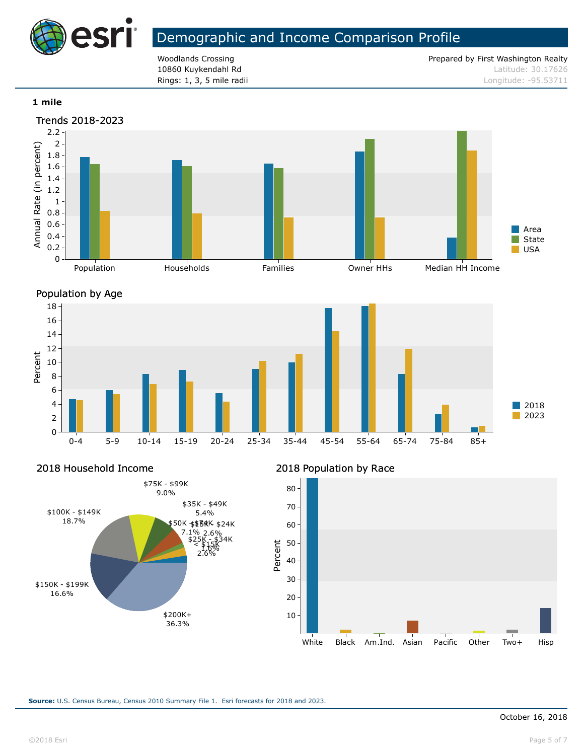

**Rings: 1, 3, 5 mile radii Longitude: -95.53711** 

Woodlands Crossing **Prepared by First Washington Realty** Prepared by First Washington Realty 10860 Kuykendahl Rd **Latitude: 30.17626** Latitude: 30.17626

#### **1 mile**





Percent

2018 Household Income



### 2018 Population by Race

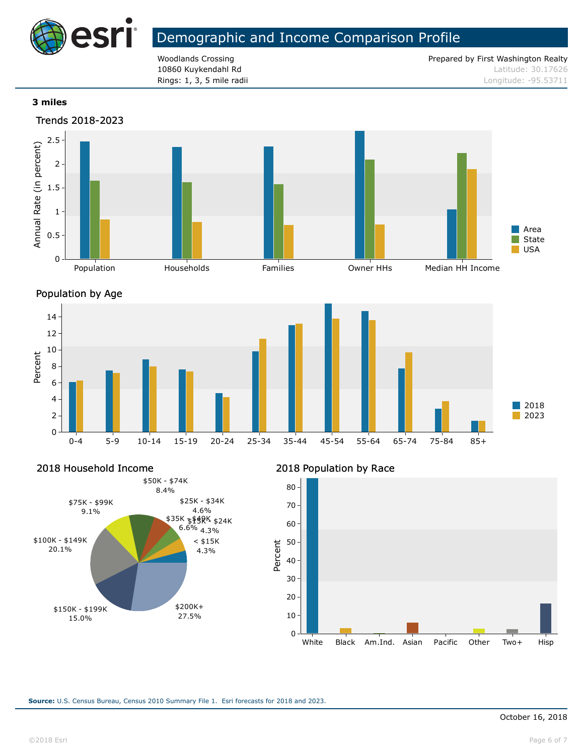

**Rings: 1, 3, 5 mile radii Longitude: -95.53711** 

Woodlands Crossing **Prepared by First Washington Realty** Prepared by First Washington Realty 10860 Kuykendahl Rd **Latitude: 30.17626** Latitude: 30.17626

### **3 miles**





Percent

2018 Household Income



### 2018 Population by Race